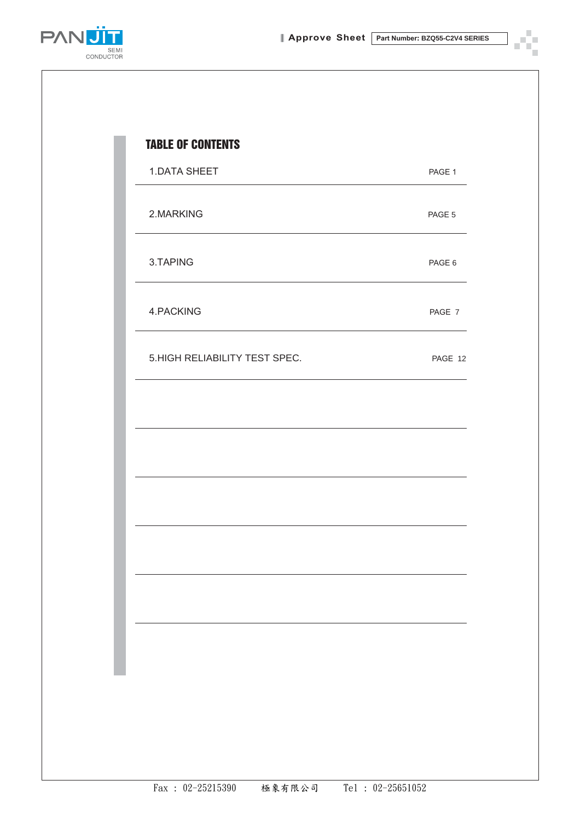× P n)



| <b>1.DATA SHEET</b>           | PAGE 1  |
|-------------------------------|---------|
| 2.MARKING                     | PAGE 5  |
| 3.TAPING                      | PAGE 6  |
| 4.PACKING                     | PAGE 7  |
| 5.HIGH RELIABILITY TEST SPEC. | PAGE 12 |
|                               |         |
|                               |         |
|                               |         |
|                               |         |
|                               |         |
|                               |         |
|                               |         |
|                               |         |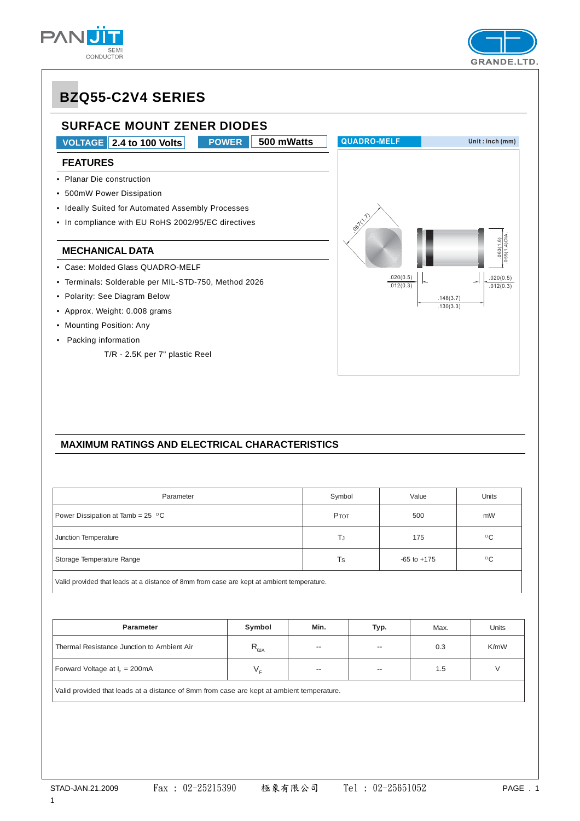





#### **MAXIMUM RATINGS AND ELECTRICAL CHARACTERISTICS**

| Parameter                                 | Symbol | Value           | <b>Units</b> |  |  |  |  |
|-------------------------------------------|--------|-----------------|--------------|--|--|--|--|
| Power Dissipation at Tamb = $25\degree$ C | PTOT   | 500             | mW           |  |  |  |  |
| Junction Temperature                      | ΤJ     | 175             | $^{\circ}$ C |  |  |  |  |
| Storage Temperature Range                 | Ts     | $-65$ to $+175$ | $^{\circ}$ C |  |  |  |  |
|                                           |        |                 |              |  |  |  |  |

Valid provided that leads at a distance of 8mm from case are kept at ambient temperature.

| <b>Parameter</b>                           | Symbol                                        | Min.                     | Typ.                     | Max. | Units |
|--------------------------------------------|-----------------------------------------------|--------------------------|--------------------------|------|-------|
| Thermal Resistance Junction to Ambient Air | $\mathsf{r}_{\scriptscriptstyle\textsf{dIA}}$ | $\overline{\phantom{a}}$ | $- -$                    | 0.3  | K/mW  |
| Forward Voltage at $I_c = 200 \text{mA}$   |                                               | $\hspace{0.05cm}$        | $\overline{\phantom{a}}$ | 1.5  |       |

Valid provided that leads at a distance of 8mm from case are kept at ambient temperature.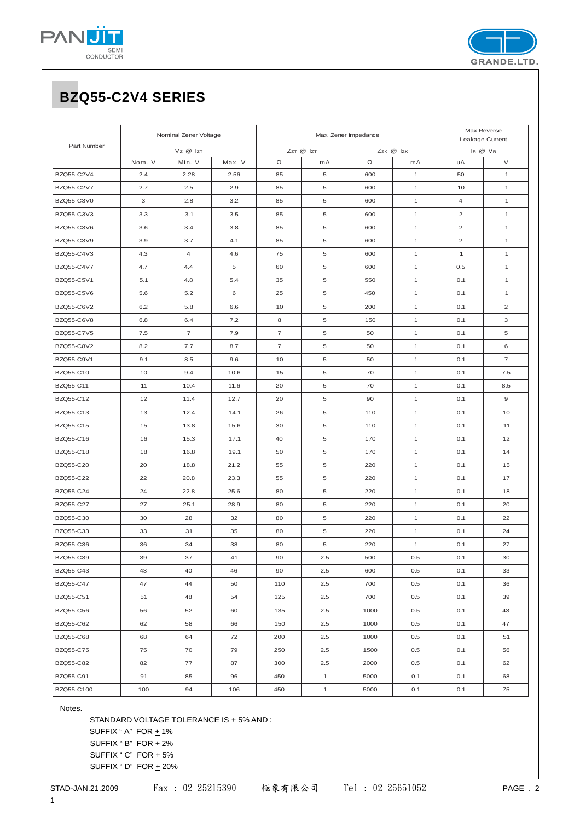



|             |                                    | Nominal Zener Voltage |        |                          | Max. Zener Impedance | Max Reverse<br>Leakage Current |              |                |                |
|-------------|------------------------------------|-----------------------|--------|--------------------------|----------------------|--------------------------------|--------------|----------------|----------------|
| Part Number | Vz @ IzT<br>ZzT @ IzT<br>Zzk @ Izk |                       |        |                          |                      | IR @ VR                        |              |                |                |
|             | Nom. V                             | Min. V                | Max. V | $\Omega$                 | mA                   | $\Omega$                       | mA           | uA             | V              |
| BZQ55-C2V4  | 2.4                                | 2.28                  | 2.56   | 85                       | 5                    | 600                            | $\mathbf{1}$ | 50             | $\mathbf{1}$   |
| BZQ55-C2V7  | 2.7                                | 2.5                   | 2.9    | 85                       | 5                    | 600                            | $\mathbf{1}$ | 10             | $\mathbf{1}$   |
| BZQ55-C3V0  | 3                                  | 2.8                   | 3.2    | 85                       | 5                    | 600                            | $\mathbf{1}$ | 4              | $\mathbf{1}$   |
| BZQ55-C3V3  | 3.3                                | 3.1                   | 3.5    | 85                       | $\,$ 5 $\,$          | 600                            | $\mathbf{1}$ | $\overline{c}$ | $\mathbf{1}$   |
| BZQ55-C3V6  | 3.6                                | 3.4                   | 3.8    | 85                       | $\,$ 5 $\,$          | 600                            | $\mathbf{1}$ | $\overline{c}$ | $\mathbf{1}$   |
| BZQ55-C3V9  | 3.9                                | 3.7                   | 4.1    | 85                       | $\,$ 5 $\,$          | 600                            | $\mathbf{1}$ | $\overline{c}$ | $\mathbf{1}$   |
| BZQ55-C4V3  | 4.3                                | $\overline{4}$        | 4.6    | 75                       | $\,$ 5 $\,$          | 600                            | $\mathbf{1}$ | $\mathbf{1}$   | $\mathbf{1}$   |
| BZQ55-C4V7  | 4.7                                | 4.4                   | 5      | 60                       | $\,$ 5 $\,$          | 600                            | $\mathbf{1}$ | 0.5            | $\mathbf{1}$   |
| BZQ55-C5V1  | 5.1                                | 4.8                   | 5.4    | 35                       | $\,$ 5 $\,$          | 550                            | $\mathbf{1}$ | 0.1            | $\mathbf{1}$   |
| BZQ55-C5V6  | 5.6                                | 5.2                   | 6      | 25                       | $\,$ 5 $\,$          | 450                            | $\mathbf{1}$ | 0.1            | $\mathbf{1}$   |
| BZQ55-C6V2  | 6.2                                | 5.8                   | 6.6    | 10                       | $\,$ 5 $\,$          | 200                            | $\mathbf{1}$ | 0.1            | $\overline{c}$ |
| BZQ55-C6V8  | 6.8                                | 6.4                   | 7.2    | 8                        | 5                    | 150                            | $\mathbf{1}$ | 0.1            | 3              |
| BZQ55-C7V5  | 7.5                                | $\overline{7}$        | 7.9    | $\overline{\phantom{a}}$ | $\,$ 5 $\,$          | 50                             | $\mathbf{1}$ | 0.1            | 5              |
| BZQ55-C8V2  | 8.2                                | 7.7                   | 8.7    | $\overline{7}$           | 5                    | 50                             | $\mathbf{1}$ | 0.1            | 6              |
| BZQ55-C9V1  | 9.1                                | 8.5                   | 9.6    | 10                       | 5                    | 50                             | $\mathbf{1}$ | 0.1            | $\overline{7}$ |
| BZQ55-C10   | 10                                 | 9.4                   | 10.6   | 15                       | $\,$ 5 $\,$          | 70                             | $\mathbf{1}$ | 0.1            | 7.5            |
| BZQ55-C11   | 11                                 | 10.4                  | 11.6   | 20                       | $\,$ 5 $\,$          | 70                             | $\mathbf{1}$ | 0.1            | 8.5            |
| BZQ55-C12   | 12                                 | 11.4                  | 12.7   | 20                       | 5                    | 90                             | $\mathbf{1}$ | 0.1            | $\mathbf 9$    |
| BZQ55-C13   | 13                                 | 12.4                  | 14.1   | 26                       | 5                    | 110                            | $\mathbf{1}$ | 0.1            | 10             |
| BZQ55-C15   | 15                                 | 13.8                  | 15.6   | 30                       | $\,$ 5 $\,$          | 110                            | $\mathbf{1}$ | 0.1            | 11             |
| BZQ55-C16   | 16                                 | 15.3                  | 17.1   | 40                       | 5                    | 170                            | $\mathbf{1}$ | 0.1            | 12             |
| BZQ55-C18   | 18                                 | 16.8                  | 19.1   | 50                       | 5                    | 170                            | $\mathbf{1}$ | 0.1            | 14             |
| BZQ55-C20   | 20                                 | 18.8                  | 21.2   | 55                       | 5                    | 220                            | $\mathbf{1}$ | 0.1            | 15             |
| BZQ55-C22   | 22                                 | 20.8                  | 23.3   | 55                       | 5                    | 220                            | $\mathbf{1}$ | 0.1            | 17             |
| BZQ55-C24   | 24                                 | 22.8                  | 25.6   | 80                       | 5                    | 220                            | $\mathbf{1}$ | 0.1            | 18             |
| BZQ55-C27   | 27                                 | 25.1                  | 28.9   | 80                       | 5                    | 220                            | $\mathbf{1}$ | 0.1            | 20             |
| BZQ55-C30   | 30                                 | 28                    | 32     | 80                       | 5                    | 220                            | $\mathbf{1}$ | 0.1            | 22             |
| BZQ55-C33   | 33                                 | 31                    | 35     | 80                       | 5                    | 220                            | $\mathbf{1}$ | 0.1            | 24             |
| BZQ55-C36   | 36                                 | 34                    | 38     | 80                       | 5                    | 220                            | $\mathbf{1}$ | 0.1            | 27             |
| BZQ55-C39   | 39                                 | 37                    | 41     | 90                       | 2.5                  | 500                            | 0.5          | 0.1            | 30             |
| BZQ55-C43   | 43                                 | 40                    | 46     | 90                       | 2.5                  | 600                            | 0.5          | 0.1            | 33             |
| BZQ55-C47   | 47                                 | 44                    | 50     | 110                      | 2.5                  | 700                            | 0.5          | 0.1            | 36             |
| BZQ55-C51   | 51                                 | 48                    | 54     | 125                      | 2.5                  | 700                            | 0.5          | 0.1            | 39             |
| BZQ55-C56   | 56                                 | 52                    | 60     | 135                      | 2.5                  | 1000                           | 0.5          | 0.1            | 43             |
| BZQ55-C62   | 62                                 | 58                    | 66     | 150                      | 2.5                  | 1000                           | 0.5          | 0.1            | 47             |
| BZQ55-C68   | 68                                 | 64                    | 72     | 200                      | 2.5                  | 1000                           | 0.5          | 0.1            | 51             |
| BZQ55-C75   | 75                                 | 70                    | 79     | 250                      | 2.5                  | 1500                           | 0.5          | 0.1            | 56             |
| BZQ55-C82   | 82                                 | 77                    | 87     | 300                      | 2.5                  | 2000                           | 0.5          | 0.1            | 62             |
| BZQ55-C91   | 91                                 | 85                    | 96     | 450                      | $\mathbf{1}$         | 5000                           | 0.1          | 0.1            | 68             |
| BZQ55-C100  | 100                                | 94                    | 106    | 450                      | $\mathbf{1}$         | 5000                           | 0.1          | 0.1            | 75             |

Notes.

STANDARD VOLTAGE TOLERANCE IS  $\pm$  5% AND : SUFFIX " A"  $FOR \pm 1\%$ SUFFIX "  $B$ " FOR  $\pm 2\%$ SUFFIX "  $C$ " FOR  $\pm$  5% SUFFIX "  $D$ " FOR  $\pm$  20%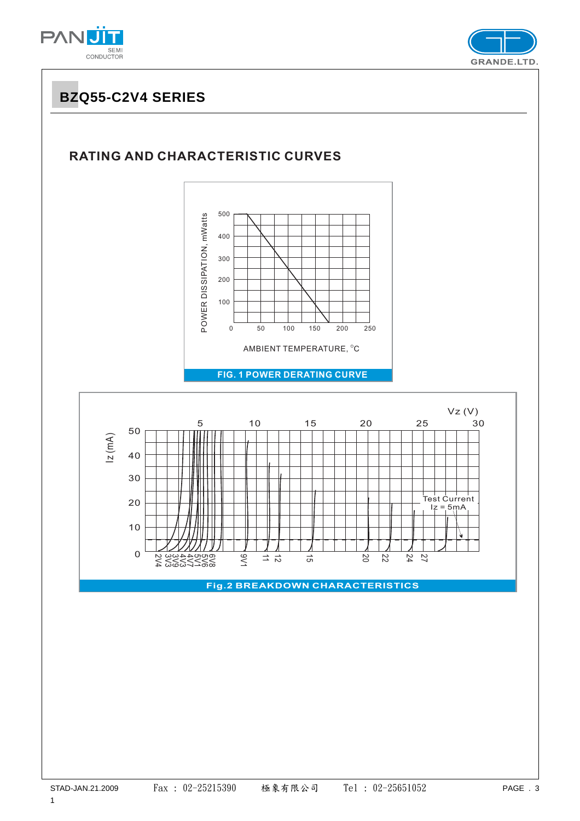



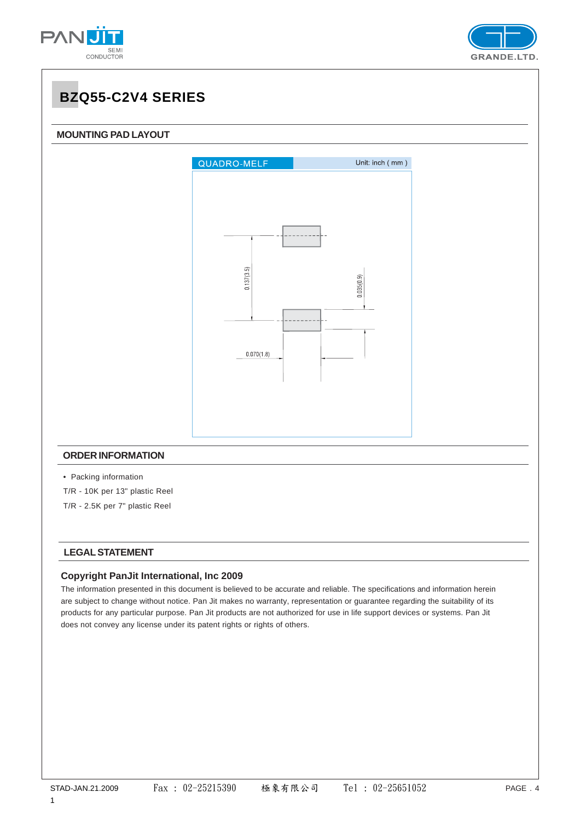





#### **LEGAL STATEMENT**

#### **Copyright PanJit International, Inc 2009**

The information presented in this document is believed to be accurate and reliable. The specifications and information herein are subject to change without notice. Pan Jit makes no warranty, representation or guarantee regarding the suitability of its products for any particular purpose. Pan Jit products are not authorized for use in life support devices or systems. Pan Jit does not convey any license under its patent rights or rights of others.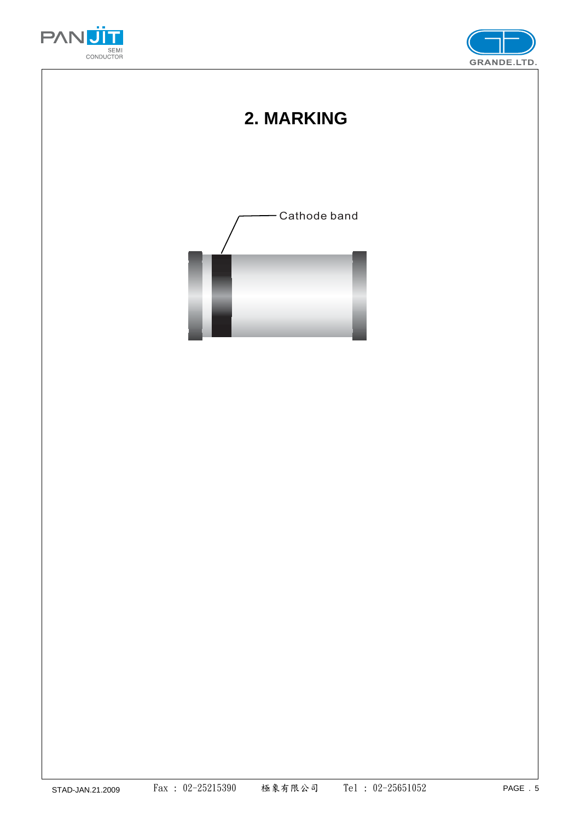



## **2. MARKING**

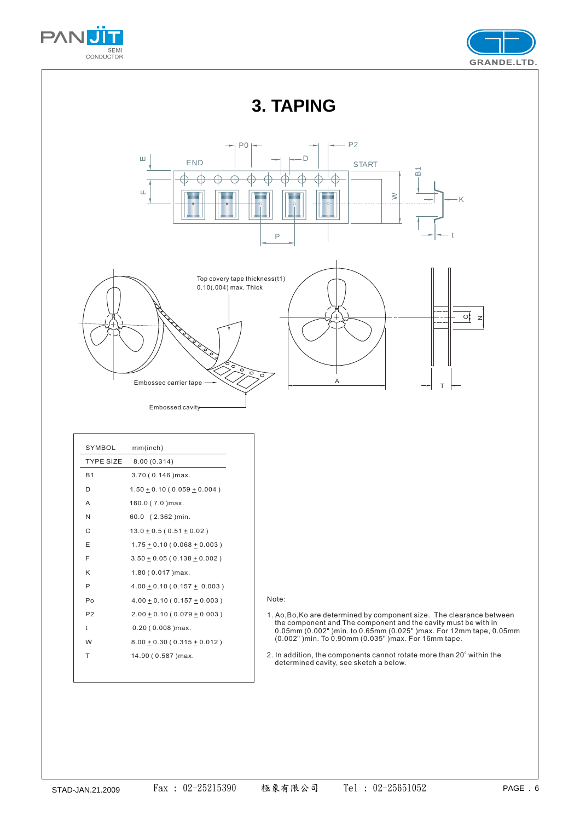



**3. TAPING**



| SYMBOL           | mm(inch)                            |
|------------------|-------------------------------------|
| <b>TYPE SIZE</b> | 8.00(0.314)                         |
| <b>B1</b>        | $3.70(0.146)$ max.                  |
| D                | $1.50 + 0.10 (0.059 + 0.004)$       |
| A                | 180.0 (7.0) max.                    |
| N                | 60.0 (2.362) min.                   |
| C                | $13.0 + 0.5(0.51 + 0.02)$           |
| E                | $1.75 \pm 0.10$ (0.068 $\pm$ 0.003) |
| F                | $3.50 + 0.05 (0.138 + 0.002)$       |
| Κ                | $1.80(0.017)$ max.                  |
| P                | $4.00 \pm 0.10$ (0.157 $\pm$ 0.003) |
| Po               | $4.00 + 0.10 (0.157 + 0.003)$       |
| P <sub>2</sub>   | $2.00 \pm 0.10$ (0.079 $\pm$ 0.003) |
| t                | $0.20$ ( $0.008$ ) max.             |
| W                | $8.00 \pm 0.30$ (0.315 $\pm$ 0.012) |
| T                | 14.90 (0.587) max.                  |
|                  |                                     |

Note:

- 1. Ao,Bo,Ko are determined by component size. The clearance between the component and The component and the cavity must be with in 0.05mm (0.002" )min. to 0.65mm (0.025" )max. For 12mm tape, 0.05mm (0.002" )min. To 0.90mm (0.035" )max. For 16mm tape.
- 2. In addition, the components cannot rotate more than 20° within the determined cavity, see sketch a below. o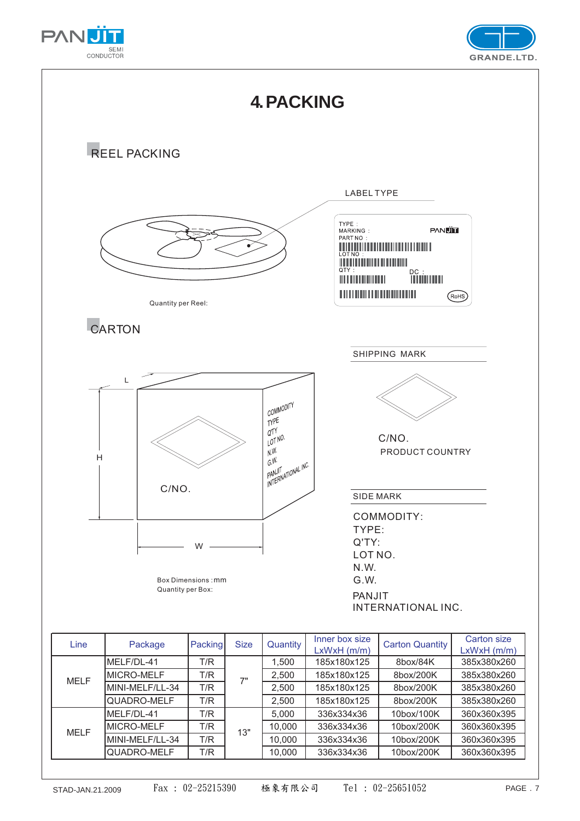





QUADRO-MELF T/R 10,000 336x334x36 10box/200K 360x360x395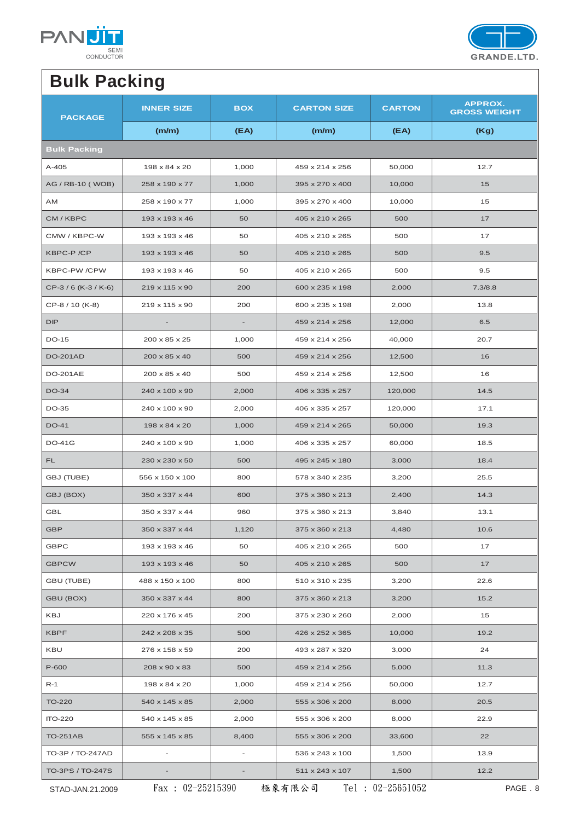



# **Bulk Packing**

| <b>PACKAGE</b>       | <b>INNER SIZE</b>         | <b>BOX</b>               | <b>CARTON SIZE</b> | <b>CARTON</b> | <b>APPROX.</b><br><b>GROSS WEIGHT</b> |
|----------------------|---------------------------|--------------------------|--------------------|---------------|---------------------------------------|
|                      | (m/m)                     | (EA)                     | (m/m)              | (EA)          | (Kg)                                  |
| <b>Bulk Packing</b>  |                           |                          |                    |               |                                       |
| $A-405$              | 198 x 84 x 20             | 1,000                    | 459 x 214 x 256    | 50,000        | 12.7                                  |
| AG / RB-10 (WOB)     | 258 x 190 x 77            | 1,000                    | 395 x 270 x 400    | 10,000        | 15                                    |
| AM                   | 258 x 190 x 77            | 1,000                    | 395 x 270 x 400    | 10,000        | 15                                    |
| CM / KBPC            | 193 x 193 x 46            | 50                       | 405 x 210 x 265    | 500           | 17                                    |
| CMW / KBPC-W         | 193 x 193 x 46            | 50                       | 405 x 210 x 265    | 500           | 17                                    |
| KBPC-P /CP           | 193 x 193 x 46            | 50                       | 405 x 210 x 265    | 500           | 9.5                                   |
| KBPC-PW /CPW         | 193 x 193 x 46            | 50                       | 405 x 210 x 265    | 500           | 9.5                                   |
| CP-3 / 6 (K-3 / K-6) | 219 x 115 x 90            | 200                      | 600 x 235 x 198    | 2,000         | 7.3/8.8                               |
| CP-8 / 10 (K-8)      | 219 x 115 x 90            | 200                      | 600 x 235 x 198    | 2,000         | 13.8                                  |
| DIP                  |                           |                          | 459 x 214 x 256    | 12,000        | 6.5                                   |
| <b>DO-15</b>         | $200 \times 85 \times 25$ | 1,000                    | 459 x 214 x 256    | 40,000        | 20.7                                  |
| <b>DO-201AD</b>      | 200 x 85 x 40             | 500                      | 459 x 214 x 256    | 12,500        | 16                                    |
| <b>DO-201AE</b>      | 200 x 85 x 40             | 500                      | 459 x 214 x 256    | 12,500        | 16                                    |
| DO-34                | 240 x 100 x 90            | 2,000                    | 406 x 335 x 257    | 120,000       | 14.5                                  |
| DO-35                | 240 x 100 x 90            | 2,000                    | 406 x 335 x 257    | 120,000       | 17.1                                  |
| <b>DO-41</b>         | 198 x 84 x 20             | 1,000                    | 459 x 214 x 265    | 50,000        | 19.3                                  |
| <b>DO-41G</b>        | 240 x 100 x 90            | 1,000                    | 406 x 335 x 257    | 60,000        | 18.5                                  |
| FL.                  | 230 x 230 x 50            | 500                      | 495 x 245 x 180    | 3,000         | 18.4                                  |
| GBJ (TUBE)           | 556 x 150 x 100           | 800                      | 578 x 340 x 235    | 3,200         | 25.5                                  |
| GBJ (BOX)            | 350 x 337 x 44            | 600                      | 375 x 360 x 213    | 2,400         | 14.3                                  |
| <b>GBL</b>           | 350 x 337 x 44            | 960                      | 375 x 360 x 213    | 3,840         | 13.1                                  |
| GBP                  | 350 x 337 x 44            | 1,120                    | 375 x 360 x 213    | 4,480         | 10.6                                  |
| <b>GBPC</b>          | 193 x 193 x 46            | 50                       | 405 x 210 x 265    | 500           | 17                                    |
| <b>GBPCW</b>         | 193 x 193 x 46            | 50                       | 405 x 210 x 265    | 500           | 17                                    |
| GBU (TUBE)           | 488 x 150 x 100           | 800                      | 510 x 310 x 235    | 3,200         | 22.6                                  |
| GBU (BOX)            | 350 x 337 x 44            | 800                      | 375 x 360 x 213    | 3,200         | 15.2                                  |
| KBJ                  | 220 x 176 x 45            | 200                      | 375 x 230 x 260    | 2,000         | 15                                    |
| <b>KBPF</b>          | 242 x 208 x 35            | 500                      | 426 x 252 x 365    | 10,000        | 19.2                                  |
| KBU                  | 276 x 158 x 59            | 200                      | 493 x 287 x 320    | 3,000         | 24                                    |
| P-600                | 208 x 90 x 83             | 500                      | 459 x 214 x 256    | 5,000         | 11.3                                  |
| $R-1$                | 198 x 84 x 20             | 1,000                    | 459 x 214 x 256    | 50,000        | 12.7                                  |
| <b>TO-220</b>        | 540 x 145 x 85            | 2,000                    | 555 x 306 x 200    | 8,000         | 20.5                                  |
| <b>ITO-220</b>       | 540 x 145 x 85            | 2,000                    | 555 x 306 x 200    | 8,000         | 22.9                                  |
| <b>TO-251AB</b>      | 555 x 145 x 85            | 8,400                    | 555 x 306 x 200    | 33,600        | 22                                    |
| TO-3P / TO-247AD     | $\overline{\phantom{a}}$  | $\overline{\phantom{a}}$ | 536 x 243 x 100    | 1,500         | 13.9                                  |
| TO-3PS / TO-247S     |                           |                          | 511 x 243 x 107    | 1,500         | 12.2                                  |

STAD-JAN.21.2009 Fax : 02-25215390 極象有限公司 Tel : 02-25651052 PAGE . 8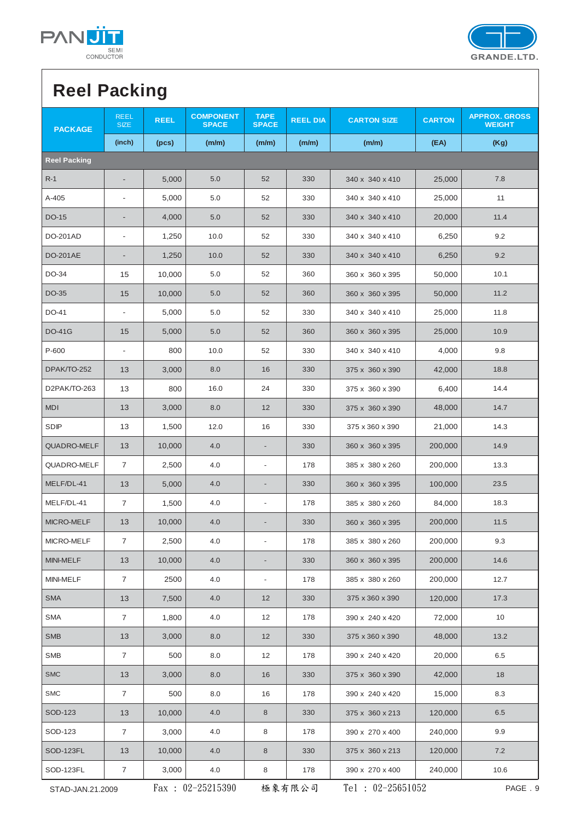



# **Reel Packing**

| <b>PACKAGE</b>      | <b>REEL</b><br><b>SIZE</b> | <b>REEL</b> | <b>COMPONENT</b><br><b>SPACE</b> | <b>TAPE</b><br><b>SPACE</b> | <b>REEL DIA</b> | <b>CARTON SIZE</b>  | <b>CARTON</b> | <b>APPROX. GROSS</b><br><b>WEIGHT</b> |
|---------------------|----------------------------|-------------|----------------------------------|-----------------------------|-----------------|---------------------|---------------|---------------------------------------|
|                     | (inch)                     | (pcs)       | (m/m)                            | (m/m)                       | (m/m)           | (m/m)               | (EA)          | (Kg)                                  |
| <b>Reel Packing</b> |                            |             |                                  |                             |                 |                     |               |                                       |
| $R-1$               | $\overline{\phantom{a}}$   | 5,000       | 5.0                              | 52                          | 330             | 340 x 340 x 410     | 25,000        | 7.8                                   |
| A-405               |                            | 5,000       | 5.0                              | 52                          | 330             | 340 x 340 x 410     | 25,000        | 11                                    |
| DO-15               |                            | 4,000       | 5.0                              | 52                          | 330             | 340 x 340 x 410     | 20,000        | 11.4                                  |
| DO-201AD            | $\overline{\phantom{a}}$   | 1,250       | 10.0                             | 52                          | 330             | 340 x 340 x 410     | 6,250         | 9.2                                   |
| <b>DO-201AE</b>     |                            | 1,250       | 10.0                             | 52                          | 330             | 340 x 340 x 410     | 6,250         | 9.2                                   |
| DO-34               | 15                         | 10,000      | 5.0                              | 52                          | 360             | 360 x 360 x 395     | 50,000        | 10.1                                  |
| DO-35               | 15                         | 10,000      | 5.0                              | 52                          | 360             | 360 x 360 x 395     | 50,000        | 11.2                                  |
| DO-41               | $\overline{\phantom{a}}$   | 5,000       | 5.0                              | 52                          | 330             | 340 x 340 x 410     | 25,000        | 11.8                                  |
| <b>DO-41G</b>       | 15                         | 5,000       | 5.0                              | 52                          | 360             | 360 x 360 x 395     | 25,000        | 10.9                                  |
| P-600               | $\overline{\phantom{a}}$   | 800         | 10.0                             | 52                          | 330             | 340 x 340 x 410     | 4,000         | 9.8                                   |
| DPAK/TO-252         | 13                         | 3,000       | 8.0                              | 16                          | 330             | 375 x 360 x 390     | 42,000        | 18.8                                  |
| D2PAK/TO-263        | 13                         | 800         | 16.0                             | 24                          | 330             | 375 x 360 x 390     | 6,400         | 14.4                                  |
| <b>MDI</b>          | 13                         | 3,000       | 8.0                              | 12                          | 330             | 375 x 360 x 390     | 48,000        | 14.7                                  |
| <b>SDIP</b>         | 13                         | 1,500       | 12.0                             | 16                          | 330             | 375 x 360 x 390     | 21,000        | 14.3                                  |
| <b>QUADRO-MELF</b>  | 13                         | 10,000      | 4.0                              |                             | 330             | 360 x 360 x 395     | 200,000       | 14.9                                  |
| QUADRO-MELF         | $\overline{7}$             | 2,500       | 4.0                              | $\overline{a}$              | 178             | 385 x 380 x 260     | 200,000       | 13.3                                  |
| MELF/DL-41          | 13                         | 5,000       | 4.0                              |                             | 330             | 360 x 360 x 395     | 100,000       | 23.5                                  |
| MELF/DL-41          | $\overline{7}$             | 1,500       | 4.0                              | $\overline{a}$              | 178             | 385 x 380 x 260     | 84,000        | 18.3                                  |
| MICRO-MELF          | 13                         | 10,000      | 4.0                              |                             | 330             | 360 x 360 x 395     | 200,000       | 11.5                                  |
| MICRO-MELF          | $\overline{7}$             | 2,500       | 4.0                              |                             | 178             | 385 x 380 x 260     | 200,000       | 9.3                                   |
| MINI-MELF           | 13                         | 10,000      | 4.0                              |                             | 330             | 360 x 360 x 395     | 200,000       | 14.6                                  |
| MINI-MELF           | $\overline{7}$             | 2500        | 4.0                              |                             | 178             | 385 x 380 x 260     | 200,000       | 12.7                                  |
| <b>SMA</b>          | 13                         | 7,500       | 4.0                              | 12                          | 330             | 375 x 360 x 390     | 120,000       | 17.3                                  |
| <b>SMA</b>          | $\overline{7}$             | 1,800       | 4.0                              | 12                          | 178             | 390 x 240 x 420     | 72,000        | 10                                    |
| <b>SMB</b>          | 13                         | 3,000       | 8.0                              | 12                          | 330             | 375 x 360 x 390     | 48,000        | 13.2                                  |
| <b>SMB</b>          | $\overline{7}$             | 500         | 8.0                              | 12                          | 178             | 390 x 240 x 420     | 20,000        | 6.5                                   |
| <b>SMC</b>          | 13                         | 3,000       | 8.0                              | 16                          | 330             | 375 x 360 x 390     | 42,000        | 18                                    |
| <b>SMC</b>          | $\overline{7}$             | 500         | 8.0                              | 16                          | 178             | 390 x 240 x 420     | 15,000        | 8.3                                   |
| SOD-123             | 13                         | 10,000      | 4.0                              | 8                           | 330             | 375 x 360 x 213     | 120,000       | 6.5                                   |
| SOD-123             | $\overline{7}$             | 3,000       | 4.0                              | 8                           | 178             | 390 x 270 x 400     | 240,000       | 9.9                                   |
| SOD-123FL           | 13                         | 10,000      | 4.0                              | $\,8\,$                     | 330             | 375 x 360 x 213     | 120,000       | 7.2                                   |
| SOD-123FL           | 7                          | 3,000       | 4.0                              | 8                           | 178             | 390 x 270 x 400     | 240,000       | 10.6                                  |
| STAD-JAN.21.2009    |                            |             | Fax: 02-25215390                 |                             | 極象有限公司          | Tel : $02-25651052$ |               | PAGE . 9                              |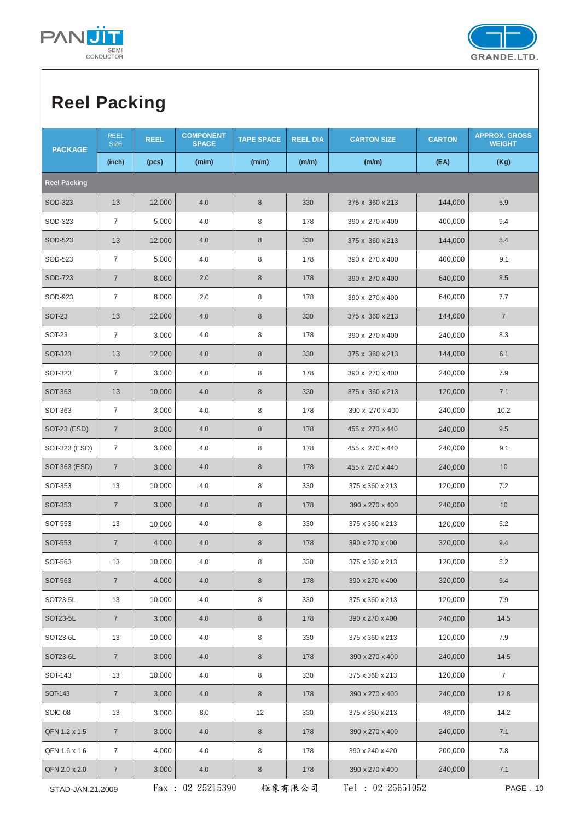



# **Reel Packing**

| <b>PACKAGE</b>      | <b>REEL</b><br><b>SIZE</b>                                              | <b>REEL</b> | <b>COMPONENT</b><br><b>SPACE</b> | <b>TAPE SPACE</b> | <b>REEL DIA</b> | <b>CARTON SIZE</b> | <b>CARTON</b> | <b>APPROX. GROSS</b><br><b>WEIGHT</b> |
|---------------------|-------------------------------------------------------------------------|-------------|----------------------------------|-------------------|-----------------|--------------------|---------------|---------------------------------------|
|                     | (inch)                                                                  | (pcs)       | (m/m)                            | (m/m)             | (m/m)           | (m/m)              | (EA)          | (Kg)                                  |
| <b>Reel Packing</b> |                                                                         |             |                                  |                   |                 |                    |               |                                       |
| SOD-323             | 13                                                                      | 12,000      | 4.0                              | $\,8\,$           | 330             | 375 x 360 x 213    | 144,000       | 5.9                                   |
| SOD-323             | $\overline{7}$                                                          | 5,000       | 4.0                              | 8                 | 178             | 390 x 270 x 400    | 400,000       | 9.4                                   |
| SOD-523             | 13                                                                      | 12,000      | 4.0                              | $\bf 8$           | 330             | 375 x 360 x 213    | 144,000       | 5.4                                   |
| SOD-523             | $\overline{7}$                                                          | 5,000       | 4.0                              | 8                 | 178             | 390 x 270 x 400    | 400,000       | 9.1                                   |
| SOD-723             | $\overline{7}$                                                          | 8,000       | 2.0                              | 8                 | 178             | 390 x 270 x 400    | 640,000       | 8.5                                   |
| SOD-923             | $\overline{7}$                                                          | 8,000       | 2.0                              | 8                 | 178             | 390 x 270 x 400    | 640,000       | 7.7                                   |
| <b>SOT-23</b>       | 13                                                                      | 12,000      | 4.0                              | $\bf 8$           | 330             | 375 x 360 x 213    | 144,000       | $\overline{7}$                        |
| <b>SOT-23</b>       | $\overline{7}$                                                          | 3,000       | 4.0                              | 8                 | 178             | 390 x 270 x 400    | 240,000       | 8.3                                   |
| <b>SOT-323</b>      | 13                                                                      | 12,000      | 4.0                              | $\,8\,$           | 330             | 375 x 360 x 213    | 144,000       | 6.1                                   |
| SOT-323             | $\overline{7}$                                                          | 3,000       | 4.0                              | 8                 | 178             | 390 x 270 x 400    | 240,000       | 7.9                                   |
| SOT-363             | 13                                                                      | 10,000      | 4.0                              | $\,8\,$           | 330             | 375 x 360 x 213    | 120,000       | 7.1                                   |
| SOT-363             | $\sqrt{7}$                                                              | 3,000       | 4.0                              | 8                 | 178             | 390 x 270 x 400    | 240,000       | 10.2                                  |
| SOT-23 (ESD)        | $\overline{7}$                                                          | 3,000       | 4.0                              | $\,8\,$           | 178             | 455 x 270 x 440    | 240,000       | 9.5                                   |
| SOT-323 (ESD)       | $\overline{7}$                                                          | 3,000       | 4.0                              | 8                 | 178             | 455 x 270 x 440    | 240,000       | 9.1                                   |
| SOT-363 (ESD)       | $\overline{7}$                                                          | 3,000       | 4.0                              | $\,8\,$           | 178             | 455 x 270 x 440    | 240,000       | 10                                    |
| SOT-353             | 13                                                                      | 10,000      | 4.0                              | 8                 | 330             | 375 x 360 x 213    | 120,000       | 7.2                                   |
| <b>SOT-353</b>      | $\overline{7}$                                                          | 3,000       | 4.0                              | $\bf 8$           | 178             | 390 x 270 x 400    | 240,000       | 10                                    |
| SOT-553             | 13                                                                      | 10,000      | 4.0                              | 8                 | 330             | 375 x 360 x 213    | 120,000       | 5.2                                   |
| <b>SOT-553</b>      | $\overline{7}$                                                          | 4,000       | 4.0                              | $\bf 8$           | 178             | 390 x 270 x 400    | 320,000       | 9.4                                   |
| SOT-563             | 13                                                                      | 10,000      | 4.0                              | 8                 | 330             | 375 x 360 x 213    | 120,000       | 5.2                                   |
| SOT-563             | $\overline{7}$                                                          | 4,000       | 4.0                              | 8                 | 178             | 390 x 270 x 400    | 320,000       | 9.4                                   |
| SOT23-5L            | 13                                                                      | 10,000      | 4.0                              | 8                 | 330             | 375 x 360 x 213    | 120,000       | 7.9                                   |
| SOT23-5L            | $\overline{7}$                                                          | 3,000       | 4.0                              | $\bf 8$           | 178             | 390 x 270 x 400    | 240,000       | 14.5                                  |
| SOT23-6L            | 13                                                                      | 10,000      | 4.0                              | 8                 | 330             | 375 x 360 x 213    | 120,000       | 7.9                                   |
| SOT23-6L            | $\overline{7}$                                                          | 3,000       | 4.0                              | 8                 | 178             | 390 x 270 x 400    | 240,000       | 14.5                                  |
| SOT-143             | 13                                                                      | 10,000      | 4.0                              | 8                 | 330             | 375 x 360 x 213    | 120,000       | $\overline{7}$                        |
| SOT-143             | $7\overline{ }$                                                         | 3,000       | 4.0                              | 8                 | 178             | 390 x 270 x 400    | 240,000       | 12.8                                  |
| SOIC-08             | 13                                                                      | 3,000       | 8.0                              | 12                | 330             | 375 x 360 x 213    | 48,000        | 14.2                                  |
| QFN 1.2 x 1.5       | $\overline{7}$                                                          | 3,000       | 4.0                              | $\bf 8$           | 178             | 390 x 270 x 400    | 240,000       | 7.1                                   |
| QFN 1.6 x 1.6       | $\overline{7}$                                                          | 4,000       | 4.0                              | 8                 | 178             | 390 x 240 x 420    | 200,000       | 7.8                                   |
| QFN 2.0 x 2.0       | $\overline{7}$                                                          | 3,000       | 4.0                              | 8                 | 178             | 390 x 270 x 400    | 240,000       | 7.1                                   |
|                     | Fax: $02-25215390$<br>Tel : $02-25651052$<br>極象有限公司<br>STAD-JAN.21.2009 |             |                                  |                   |                 |                    | PAGE . 10     |                                       |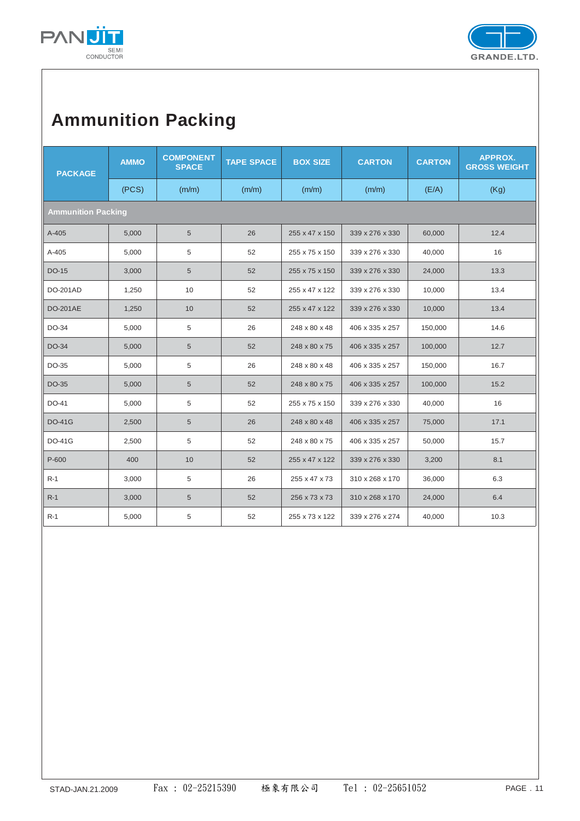



## **Ammunition Packing**

| <b>PACKAGE</b>            | <b>AMMO</b> | <b>COMPONENT</b><br><b>SPACE</b> | <b>TAPE SPACE</b> | <b>BOX SIZE</b> | <b>CARTON</b>   | <b>CARTON</b> | <b>APPROX.</b><br><b>GROSS WEIGHT</b> |
|---------------------------|-------------|----------------------------------|-------------------|-----------------|-----------------|---------------|---------------------------------------|
|                           | (PCS)       | (m/m)                            | (m/m)             | (m/m)           | (m/m)           | (E/A)         | (Kg)                                  |
| <b>Ammunition Packing</b> |             |                                  |                   |                 |                 |               |                                       |
| A-405                     | 5,000       | 5                                | 26                | 255 x 47 x 150  | 339 x 276 x 330 | 60,000        | 12.4                                  |
| A-405                     | 5,000       | 5                                | 52                | 255 x 75 x 150  | 339 x 276 x 330 | 40,000        | 16                                    |
| DO-15                     | 3,000       | $5\phantom{.0}$                  | 52                | 255 x 75 x 150  | 339 x 276 x 330 | 24,000        | 13.3                                  |
| <b>DO-201AD</b>           | 1,250       | 10                               | 52                | 255 x 47 x 122  | 339 x 276 x 330 | 10,000        | 13.4                                  |
| <b>DO-201AE</b>           | 1,250       | 10                               | 52                | 255 x 47 x 122  | 339 x 276 x 330 | 10,000        | 13.4                                  |
| DO-34                     | 5,000       | 5                                | 26                | 248 x 80 x 48   | 406 x 335 x 257 | 150,000       | 14.6                                  |
| DO-34                     | 5,000       | 5                                | 52                | 248 x 80 x 75   | 406 x 335 x 257 | 100,000       | 12.7                                  |
| DO-35                     | 5,000       | 5                                | 26                | 248 x 80 x 48   | 406 x 335 x 257 | 150,000       | 16.7                                  |
| DO-35                     | 5,000       | 5                                | 52                | 248 x 80 x 75   | 406 x 335 x 257 | 100,000       | 15.2                                  |
| DO-41                     | 5,000       | 5                                | 52                | 255 x 75 x 150  | 339 x 276 x 330 | 40,000        | 16                                    |
| <b>DO-41G</b>             | 2,500       | 5                                | 26                | 248 x 80 x 48   | 406 x 335 x 257 | 75,000        | 17.1                                  |
| <b>DO-41G</b>             | 2,500       | 5                                | 52                | 248 x 80 x 75   | 406 x 335 x 257 | 50,000        | 15.7                                  |
| P-600                     | 400         | 10                               | 52                | 255 x 47 x 122  | 339 x 276 x 330 | 3,200         | 8.1                                   |
| R-1                       | 3,000       | 5                                | 26                | 255 x 47 x 73   | 310 x 268 x 170 | 36,000        | 6.3                                   |
| $R-1$                     | 3,000       | 5                                | 52                | 256 x 73 x 73   | 310 x 268 x 170 | 24,000        | 6.4                                   |
| $R-1$                     | 5,000       | 5                                | 52                | 255 x 73 x 122  | 339 x 276 x 274 | 40,000        | 10.3                                  |